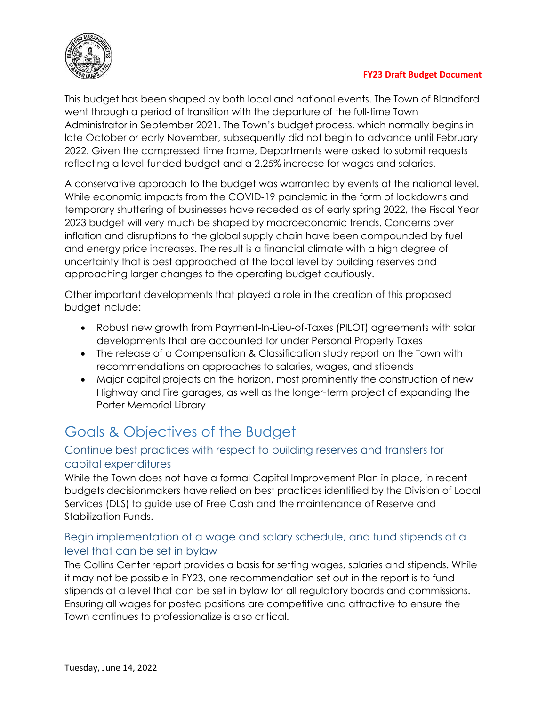

This budget has been shaped by both local and national events. The Town of Blandford went through a period of transition with the departure of the full-time Town Administrator in September 2021. The Town's budget process, which normally begins in late October or early November, subsequently did not begin to advance until February 2022. Given the compressed time frame, Departments were asked to submit requests reflecting a level-funded budget and a 2.25% increase for wages and salaries.

A conservative approach to the budget was warranted by events at the national level. While economic impacts from the COVID-19 pandemic in the form of lockdowns and temporary shuttering of businesses have receded as of early spring 2022, the Fiscal Year 2023 budget will very much be shaped by macroeconomic trends. Concerns over inflation and disruptions to the global supply chain have been compounded by fuel and energy price increases. The result is a financial climate with a high degree of uncertainty that is best approached at the local level by building reserves and approaching larger changes to the operating budget cautiously.

Other important developments that played a role in the creation of this proposed budget include:

- Robust new growth from Payment-In-Lieu-of-Taxes (PILOT) agreements with solar developments that are accounted for under Personal Property Taxes
- The release of a Compensation & Classification study report on the Town with recommendations on approaches to salaries, wages, and stipends
- Major capital projects on the horizon, most prominently the construction of new Highway and Fire garages, as well as the longer-term project of expanding the Porter Memorial Library

# Goals & Objectives of the Budget

### Continue best practices with respect to building reserves and transfers for capital expenditures

While the Town does not have a formal Capital Improvement Plan in place, in recent budgets decisionmakers have relied on best practices identified by the Division of Local Services (DLS) to guide use of Free Cash and the maintenance of Reserve and Stabilization Funds.

### Begin implementation of a wage and salary schedule, and fund stipends at a level that can be set in bylaw

The Collins Center report provides a basis for setting wages, salaries and stipends. While it may not be possible in FY23, one recommendation set out in the report is to fund stipends at a level that can be set in bylaw for all regulatory boards and commissions. Ensuring all wages for posted positions are competitive and attractive to ensure the Town continues to professionalize is also critical.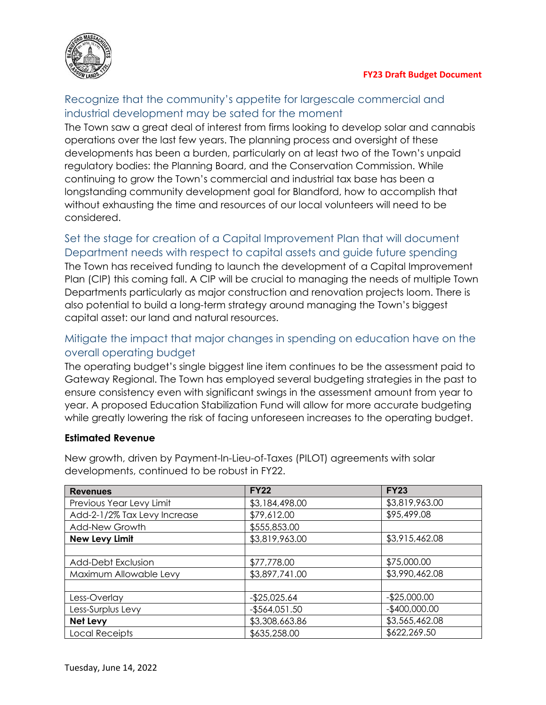

### Recognize that the community's appetite for largescale commercial and industrial development may be sated for the moment

The Town saw a great deal of interest from firms looking to develop solar and cannabis operations over the last few years. The planning process and oversight of these developments has been a burden, particularly on at least two of the Town's unpaid regulatory bodies: the Planning Board, and the Conservation Commission. While continuing to grow the Town's commercial and industrial tax base has been a longstanding community development goal for Blandford, how to accomplish that without exhausting the time and resources of our local volunteers will need to be considered.

## Set the stage for creation of a Capital Improvement Plan that will document Department needs with respect to capital assets and guide future spending

The Town has received funding to launch the development of a Capital Improvement Plan (CIP) this coming fall. A CIP will be crucial to managing the needs of multiple Town Departments particularly as major construction and renovation projects loom. There is also potential to build a long-term strategy around managing the Town's biggest capital asset: our land and natural resources.

### Mitigate the impact that major changes in spending on education have on the overall operating budget

The operating budget's single biggest line item continues to be the assessment paid to Gateway Regional. The Town has employed several budgeting strategies in the past to ensure consistency even with significant swings in the assessment amount from year to year. A proposed Education Stabilization Fund will allow for more accurate budgeting while greatly lowering the risk of facing unforeseen increases to the operating budget.

### **Estimated Revenue**

New growth, driven by Payment-In-Lieu-of-Taxes (PILOT) agreements with solar developments, continued to be robust in FY22.

| <b>Revenues</b>              | <b>FY22</b>                      | <b>FY23</b>    |  |
|------------------------------|----------------------------------|----------------|--|
| Previous Year Levy Limit     | \$3,184,498.00                   | \$3,819,963.00 |  |
| Add-2-1/2% Tax Levy Increase | \$79,612.00                      | \$95,499.08    |  |
| Add-New Growth               | \$555,853.00                     |                |  |
| <b>New Levy Limit</b>        | \$3,819,963.00                   | \$3,915,462.08 |  |
|                              |                                  |                |  |
| <b>Add-Debt Exclusion</b>    | \$77,778.00                      | \$75,000.00    |  |
| Maximum Allowable Levy       | \$3,897,741.00                   | \$3,990,462.08 |  |
|                              |                                  |                |  |
| Less-Overlay                 | $-$25,025.64$                    | $-$25,000.00$  |  |
| Less-Surplus Levy            | $-$564,051.50$                   | $-$400,000.00$ |  |
| Net Levy                     | \$3,565,462.08<br>\$3,308,663.86 |                |  |
| <b>Local Receipts</b>        | \$622,269.50<br>\$635,258.00     |                |  |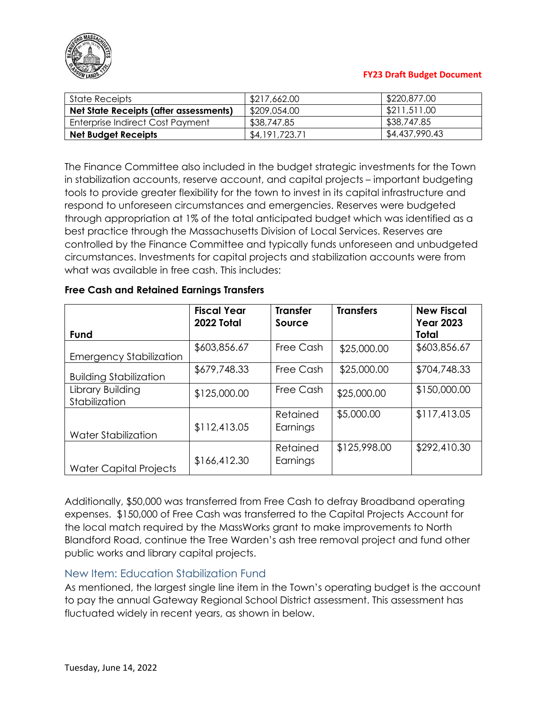

| State Receipts                         | \$217,662.00   | \$220,877.00   |  |
|----------------------------------------|----------------|----------------|--|
| Net State Receipts (after assessments) | \$209,054.00   | \$211,511.00   |  |
| Enterprise Indirect Cost Payment       | \$38,747.85    | \$38,747.85    |  |
| <b>Net Budget Receipts</b>             | \$4,191,723.71 | \$4,437,990.43 |  |

The Finance Committee also included in the budget strategic investments for the Town in stabilization accounts, reserve account, and capital projects – important budgeting tools to provide greater flexibility for the town to invest in its capital infrastructure and respond to unforeseen circumstances and emergencies. Reserves were budgeted through appropriation at 1% of the total anticipated budget which was identified as a best practice through the Massachusetts Division of Local Services. Reserves are controlled by the Finance Committee and typically funds unforeseen and unbudgeted circumstances. Investments for capital projects and stabilization accounts were from what was available in free cash. This includes:

#### **Free Cash and Retained Earnings Transfers**

|                                   | <b>Fiscal Year</b><br>2022 Total | <b>Transfer</b><br>Source | <b>Transfers</b> | <b>New Fiscal</b><br><b>Year 2023</b> |
|-----------------------------------|----------------------------------|---------------------------|------------------|---------------------------------------|
| Fund                              |                                  |                           |                  | <b>Total</b>                          |
| <b>Emergency Stabilization</b>    | \$603,856.67                     | Free Cash                 | \$25,000.00      | \$603,856.67                          |
| <b>Building Stabilization</b>     | \$679,748.33                     | Free Cash                 | \$25,000.00      | \$704,748.33                          |
| Library Building<br>Stabilization | \$125,000.00                     | Free Cash                 | \$25,000.00      | \$150,000.00                          |
| Water Stabilization               | \$112,413.05                     | Retained<br>Earnings      | \$5,000.00       | \$117,413.05                          |
| <b>Water Capital Projects</b>     | \$166,412.30                     | Retained<br>Earnings      | \$125,998.00     | \$292,410.30                          |

Additionally, \$50,000 was transferred from Free Cash to defray Broadband operating expenses. \$150,000 of Free Cash was transferred to the Capital Projects Account for the local match required by the MassWorks grant to make improvements to North Blandford Road, continue the Tree Warden's ash tree removal project and fund other public works and library capital projects.

#### New Item: Education Stabilization Fund

As mentioned, the largest single line item in the Town's operating budget is the account to pay the annual Gateway Regional School District assessment. This assessment has fluctuated widely in recent years, as shown in below.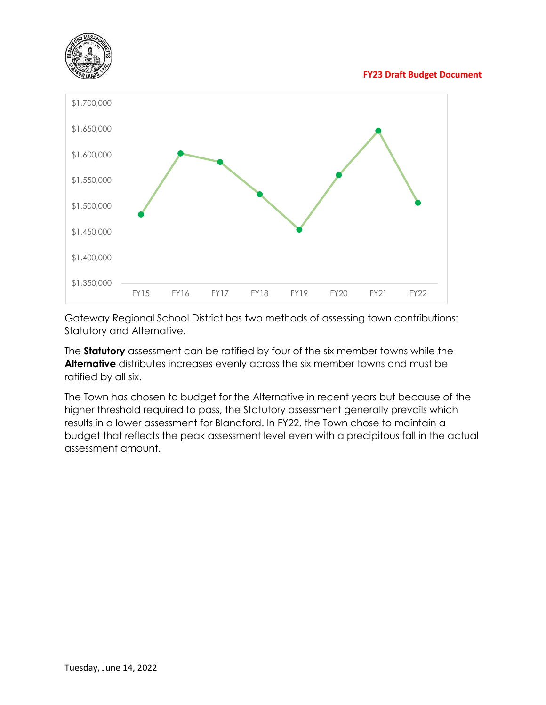



Gateway Regional School District has two methods of assessing town contributions: Statutory and Alternative.

The **Statutory** assessment can be ratified by four of the six member towns while the **Alternative** distributes increases evenly across the six member towns and must be ratified by all six.

The Town has chosen to budget for the Alternative in recent years but because of the higher threshold required to pass, the Statutory assessment generally prevails which results in a lower assessment for Blandford. In FY22, the Town chose to maintain a budget that reflects the peak assessment level even with a precipitous fall in the actual assessment amount.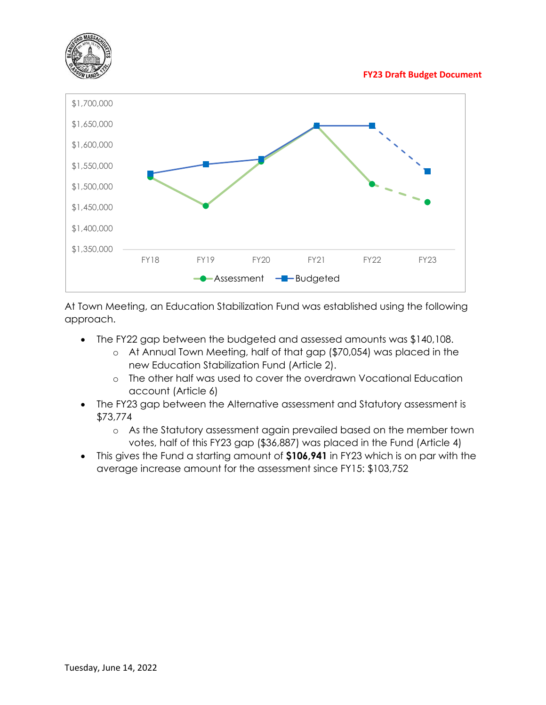



At Town Meeting, an Education Stabilization Fund was established using the following approach.

- The FY22 gap between the budgeted and assessed amounts was \$140,108.
	- o At Annual Town Meeting, half of that gap (\$70,054) was placed in the new Education Stabilization Fund (Article 2).
	- o The other half was used to cover the overdrawn Vocational Education account (Article 6)
- The FY23 gap between the Alternative assessment and Statutory assessment is \$73,774
	- o As the Statutory assessment again prevailed based on the member town votes, half of this FY23 gap (\$36,887) was placed in the Fund (Article 4)
- This gives the Fund a starting amount of **\$106,941** in FY23 which is on par with the average increase amount for the assessment since FY15: \$103,752